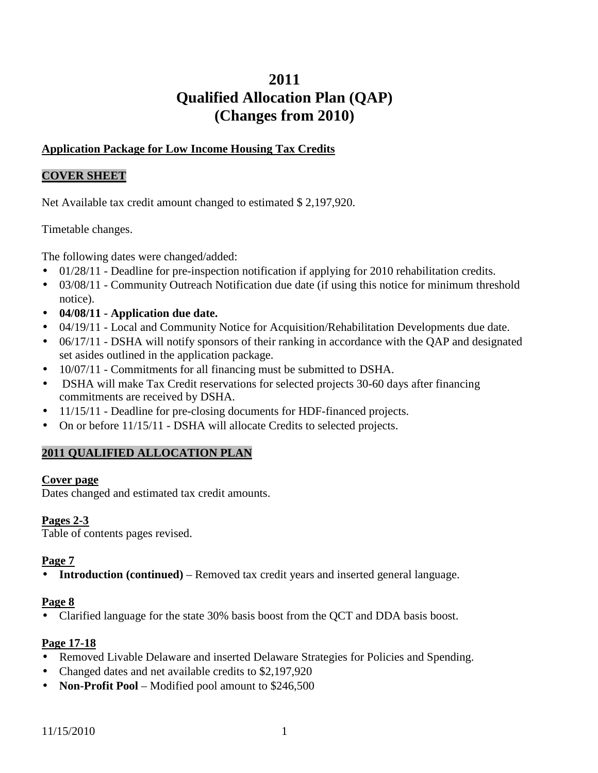# **2011 Qualified Allocation Plan (QAP) (Changes from 2010)**

### **Application Package for Low Income Housing Tax Credits**

#### **COVER SHEET**

Net Available tax credit amount changed to estimated \$ 2,197,920.

Timetable changes.

The following dates were changed/added:

- 01/28/11 Deadline for pre-inspection notification if applying for 2010 rehabilitation credits.
- 03/08/11 Community Outreach Notification due date (if using this notice for minimum threshold notice).
- **04/08/11 Application due date.**
- 04/19/11 Local and Community Notice for Acquisition/Rehabilitation Developments due date.
- 06/17/11 DSHA will notify sponsors of their ranking in accordance with the OAP and designated set asides outlined in the application package.
- 10/07/11 Commitments for all financing must be submitted to DSHA.
- DSHA will make Tax Credit reservations for selected projects 30-60 days after financing commitments are received by DSHA.
- 11/15/11 Deadline for pre-closing documents for HDF-financed projects.
- On or before  $11/15/11$  DSHA will allocate Credits to selected projects.

# **2011 QUALIFIED ALLOCATION PLAN**

#### **Cover page**

Dates changed and estimated tax credit amounts.

#### **Pages 2-3**

Table of contents pages revised.

#### **Page 7**

• **Introduction (continued)** – Removed tax credit years and inserted general language.

#### **Page 8**

• Clarified language for the state 30% basis boost from the QCT and DDA basis boost.

#### **Page 17-18**

- Removed Livable Delaware and inserted Delaware Strategies for Policies and Spending.
- Changed dates and net available credits to \$2,197,920
- **Non-Profit Pool** Modified pool amount to \$246,500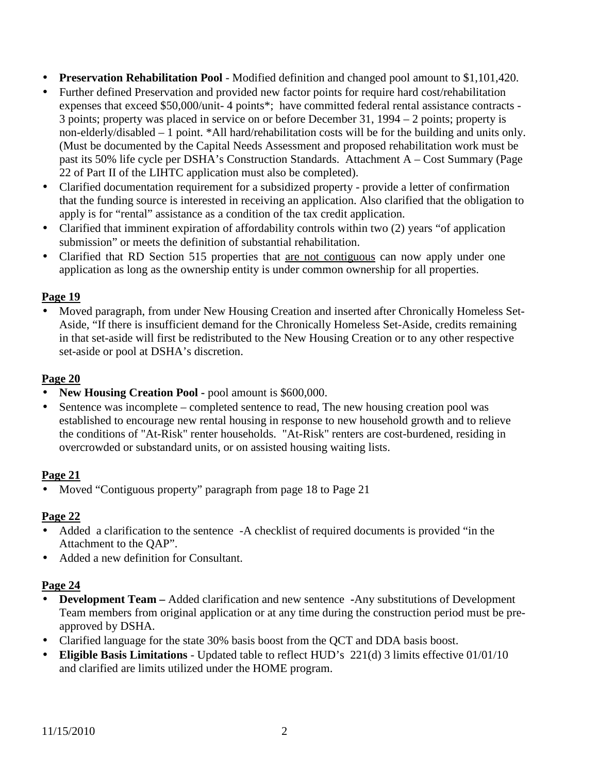- **Preservation Rehabilitation Pool**  Modified definition and changed pool amount to \$1,101,420.
- Further defined Preservation and provided new factor points for require hard cost/rehabilitation expenses that exceed \$50,000/unit- 4 points\*; have committed federal rental assistance contracts - 3 points; property was placed in service on or before December 31, 1994 – 2 points; property is non-elderly/disabled – 1 point. \*All hard/rehabilitation costs will be for the building and units only. (Must be documented by the Capital Needs Assessment and proposed rehabilitation work must be past its 50% life cycle per DSHA's Construction Standards. Attachment A – Cost Summary (Page 22 of Part II of the LIHTC application must also be completed).
- Clarified documentation requirement for a subsidized property provide a letter of confirmation that the funding source is interested in receiving an application. Also clarified that the obligation to apply is for "rental" assistance as a condition of the tax credit application.
- Clarified that imminent expiration of affordability controls within two (2) years "of application submission" or meets the definition of substantial rehabilitation.
- Clarified that RD Section 515 properties that are not contiguous can now apply under one application as long as the ownership entity is under common ownership for all properties.

• Moved paragraph, from under New Housing Creation and inserted after Chronically Homeless Set-Aside, "If there is insufficient demand for the Chronically Homeless Set-Aside, credits remaining in that set-aside will first be redistributed to the New Housing Creation or to any other respective set-aside or pool at DSHA's discretion.

### **Page 20**

- **New Housing Creation Pool pool amount is \$600,000.**
- Sentence was incomplete completed sentence to read, The new housing creation pool was established to encourage new rental housing in response to new household growth and to relieve the conditions of "At-Risk" renter households. "At-Risk" renters are cost-burdened, residing in overcrowded or substandard units, or on assisted housing waiting lists.

#### **Page 21**

• Moved "Contiguous property" paragraph from page 18 to Page 21

#### **Page 22**

- Added a clarification to the sentence -A checklist of required documents is provided "in the Attachment to the QAP".
- Added a new definition for Consultant.

# **Page 24**

- **Development Team** Added clarification and new sentence -Any substitutions of Development Team members from original application or at any time during the construction period must be preapproved by DSHA.
- Clarified language for the state 30% basis boost from the QCT and DDA basis boost.
- **Eligible Basis Limitations** Updated table to reflect HUD's 221(d) 3 limits effective 01/01/10 and clarified are limits utilized under the HOME program.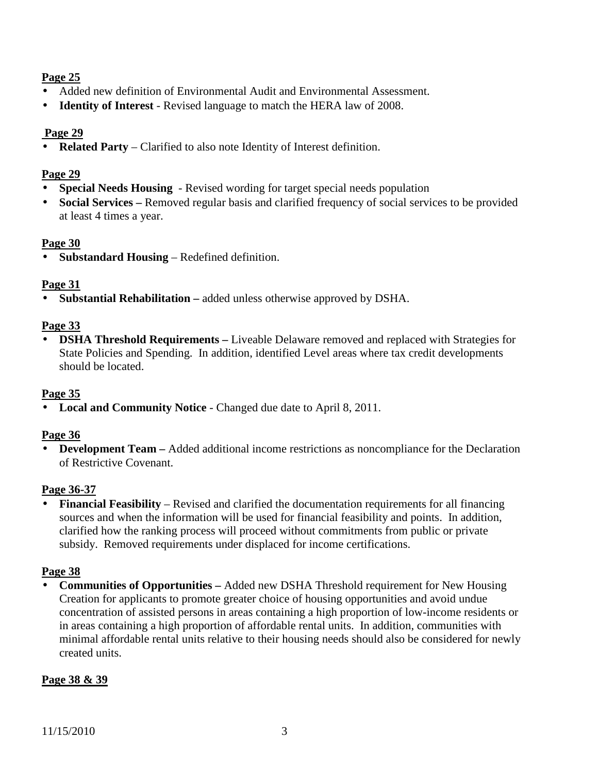- Added new definition of Environmental Audit and Environmental Assessment.
- **Identity of Interest** Revised language to match the HERA law of 2008.

### **Page 29**

• **Related Party** – Clarified to also note Identity of Interest definition.

### **Page 29**

- **Special Needs Housing** Revised wording for target special needs population
- **Social Services** Removed regular basis and clarified frequency of social services to be provided at least 4 times a year.

#### **Page 30**

• **Substandard Housing** – Redefined definition.

### **Page 31**

• **Substantial Rehabilitation –** added unless otherwise approved by DSHA.

### **Page 33**

• **DSHA Threshold Requirements –** Liveable Delaware removed and replaced with Strategies for State Policies and Spending. In addition, identified Level areas where tax credit developments should be located.

# **Page 35**

• **Local and Community Notice** - Changed due date to April 8, 2011.

#### **Page 36**

• **Development Team –** Added additional income restrictions as noncompliance for the Declaration of Restrictive Covenant.

#### **Page 36-37**

• **Financial Feasibility** – Revised and clarified the documentation requirements for all financing sources and when the information will be used for financial feasibility and points. In addition, clarified how the ranking process will proceed without commitments from public or private subsidy. Removed requirements under displaced for income certifications.

# **Page 38**

• **Communities of Opportunities –** Added new DSHA Threshold requirement for New Housing Creation for applicants to promote greater choice of housing opportunities and avoid undue concentration of assisted persons in areas containing a high proportion of low-income residents or in areas containing a high proportion of affordable rental units. In addition, communities with minimal affordable rental units relative to their housing needs should also be considered for newly created units.

# **Page 38 & 39**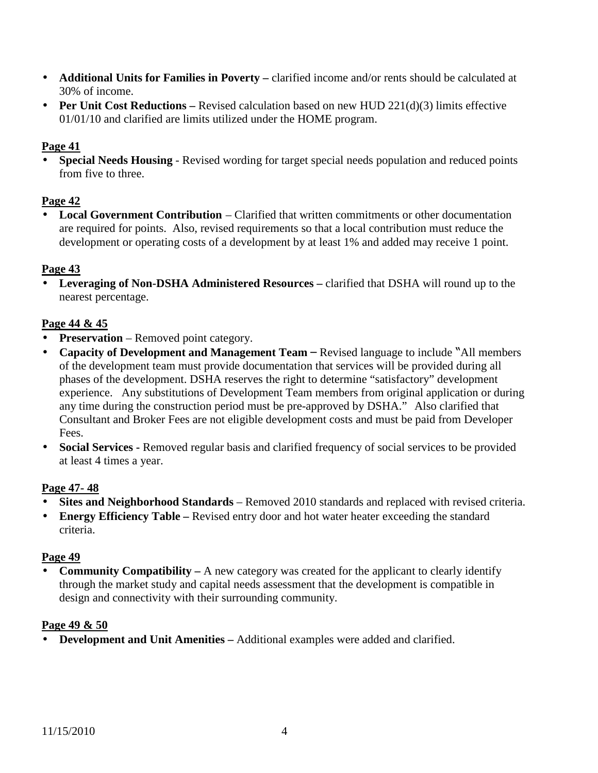- **Additional Units for Families in Poverty –** clarified income and/or rents should be calculated at 30% of income.
- **Per Unit Cost Reductions** Revised calculation based on new HUD 221(d)(3) limits effective 01/01/10 and clarified are limits utilized under the HOME program.

• **Special Needs Housing** - Revised wording for target special needs population and reduced points from five to three.

# **Page 42**

• **Local Government Contribution** – Clarified that written commitments or other documentation are required for points. Also, revised requirements so that a local contribution must reduce the development or operating costs of a development by at least 1% and added may receive 1 point.

#### **Page 43**

• Leveraging of Non-DSHA Administered Resources – clarified that DSHA will round up to the nearest percentage.

### **Page 44 & 45**

- **Preservation** Removed point category.
- Capacity of Development and Management Team Revised language to include "All members" of the development team must provide documentation that services will be provided during all phases of the development. DSHA reserves the right to determine "satisfactory" development experience. Any substitutions of Development Team members from original application or during any time during the construction period must be pre-approved by DSHA." Also clarified that Consultant and Broker Fees are not eligible development costs and must be paid from Developer Fees.
- **Social Services -** Removed regular basis and clarified frequency of social services to be provided at least 4 times a year.

#### **Page 47- 48**

- **Sites and Neighborhood Standards**  Removed 2010 standards and replaced with revised criteria.
- **Energy Efficiency Table** Revised entry door and hot water heater exceeding the standard criteria.

#### **Page 49**

• **Community Compatibility** – A new category was created for the applicant to clearly identify through the market study and capital needs assessment that the development is compatible in design and connectivity with their surrounding community.

#### **Page 49 & 50**

• **Development and Unit Amenities –** Additional examples were added and clarified.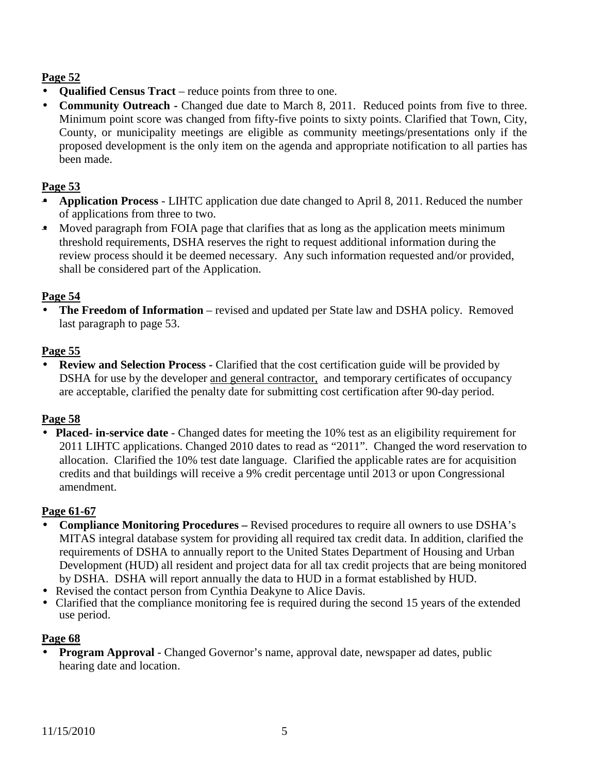- **Qualified Census Tract** reduce points from three to one.
- **Community Outreach -** Changed due date to March 8, 2011. Reduced points from five to three. Minimum point score was changed from fifty-five points to sixty points. Clarified that Town, City, County, or municipality meetings are eligible as community meetings/presentations only if the proposed development is the only item on the agenda and appropriate notification to all parties has been made.

### **Page 53**

- **Application Process**  LIHTC application due date changed to April 8, 2011. Reduced the number of applications from three to two.
- Moved paragraph from FOIA page that clarifies that as long as the application meets minimum threshold requirements, DSHA reserves the right to request additional information during the review process should it be deemed necessary. Any such information requested and/or provided, shall be considered part of the Application.

### **Page 54**

• **The Freedom of Information** – revised and updated per State law and DSHA policy. Removed last paragraph to page 53.

### **Page 55**

• **Review and Selection Process -** Clarified that the cost certification guide will be provided by DSHA for use by the developer and general contractor, and temporary certificates of occupancy are acceptable, clarified the penalty date for submitting cost certification after 90-day period.

### **Page 58**

• **Placed- in-service date** - Changed dates for meeting the 10% test as an eligibility requirement for 2011 LIHTC applications. Changed 2010 dates to read as "2011". Changed the word reservation to allocation. Clarified the 10% test date language. Clarified the applicable rates are for acquisition credits and that buildings will receive a 9% credit percentage until 2013 or upon Congressional amendment.

#### **Page 61-67**

- **Compliance Monitoring Procedures** Revised procedures to require all owners to use DSHA's MITAS integral database system for providing all required tax credit data. In addition, clarified the requirements of DSHA to annually report to the United States Department of Housing and Urban Development (HUD) all resident and project data for all tax credit projects that are being monitored by DSHA. DSHA will report annually the data to HUD in a format established by HUD.
- Revised the contact person from Cynthia Deakyne to Alice Davis.
- Clarified that the compliance monitoring fee is required during the second 15 years of the extended use period.

#### **Page 68**

• **Program Approval** - Changed Governor's name, approval date, newspaper ad dates, public hearing date and location.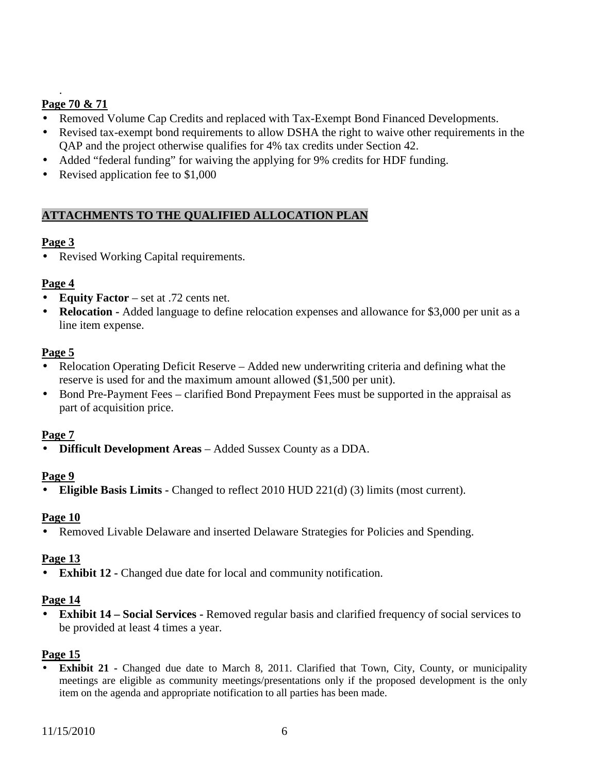# **Page 70 & 71**

.

- Removed Volume Cap Credits and replaced with Tax-Exempt Bond Financed Developments.
- Revised tax-exempt bond requirements to allow DSHA the right to waive other requirements in the QAP and the project otherwise qualifies for 4% tax credits under Section 42.
- Added "federal funding" for waiving the applying for 9% credits for HDF funding.
- Revised application fee to \$1,000

# **ATTACHMENTS TO THE QUALIFIED ALLOCATION PLAN**

#### **Page 3**

• Revised Working Capital requirements.

### **Page 4**

- **Equity Factor** set at .72 cents net.
- **Relocation** Added language to define relocation expenses and allowance for \$3,000 per unit as a line item expense.

#### **Page 5**

- Relocation Operating Deficit Reserve Added new underwriting criteria and defining what the reserve is used for and the maximum amount allowed (\$1,500 per unit).
- Bond Pre-Payment Fees clarified Bond Prepayment Fees must be supported in the appraisal as part of acquisition price.

#### **Page 7**

• **Difficult Development Areas** – Added Sussex County as a DDA.

#### **Page 9**

• **Eligible Basis Limits -** Changed to reflect 2010 HUD 221(d) (3) limits (most current).

#### **Page 10**

• Removed Livable Delaware and inserted Delaware Strategies for Policies and Spending.

#### **Page 13**

• **Exhibit 12 -** Changed due date for local and community notification.

#### **Page 14**

• **Exhibit 14 – Social Services - Removed regular basis and clarified frequency of social services to** be provided at least 4 times a year.

#### **Page 15**

**Exhibit 21 -** Changed due date to March 8, 2011. Clarified that Town, City, County, or municipality meetings are eligible as community meetings/presentations only if the proposed development is the only item on the agenda and appropriate notification to all parties has been made.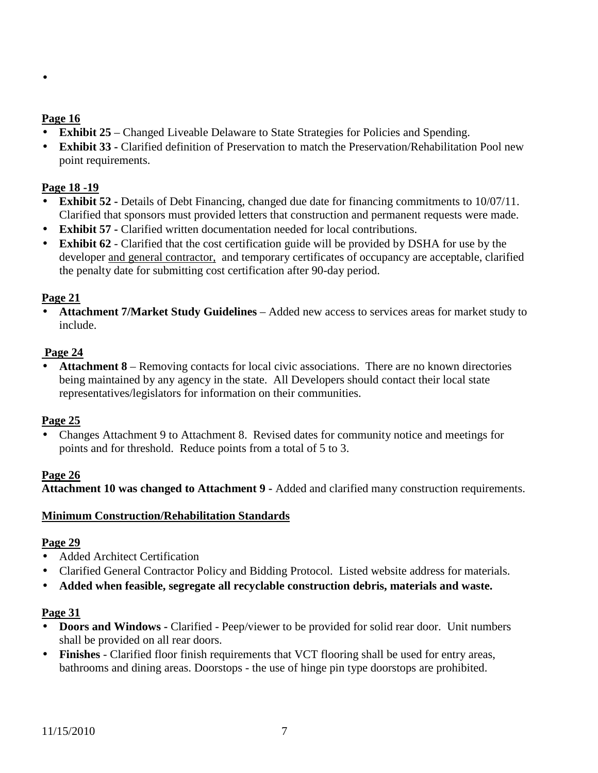#### •

### **Page 16**

- **Exhibit 25** Changed Liveable Delaware to State Strategies for Policies and Spending.
- **Exhibit 33 -** Clarified definition of Preservation to match the Preservation/Rehabilitation Pool new point requirements.

### **Page 18 -19**

- **Exhibit 52 -** Details of Debt Financing, changed due date for financing commitments to 10/07/11. Clarified that sponsors must provided letters that construction and permanent requests were made.
- **Exhibit 57 -** Clarified written documentation needed for local contributions.
- **Exhibit 62** Clarified that the cost certification guide will be provided by DSHA for use by the developer and general contractor, and temporary certificates of occupancy are acceptable, clarified the penalty date for submitting cost certification after 90-day period.

### **Page 21**

• **Attachment 7/Market Study Guidelines** – Added new access to services areas for market study to include.

#### **Page 24**

• **Attachment 8** – Removing contacts for local civic associations. There are no known directories being maintained by any agency in the state. All Developers should contact their local state representatives/legislators for information on their communities.

#### **Page 25**

• Changes Attachment 9 to Attachment 8. Revised dates for community notice and meetings for points and for threshold. Reduce points from a total of 5 to 3.

#### **Page 26**

**Attachment 10 was changed to Attachment 9 -** Added and clarified many construction requirements.

#### **Minimum Construction/Rehabilitation Standards**

#### **Page 29**

- Added Architect Certification
- Clarified General Contractor Policy and Bidding Protocol. Listed website address for materials.
- **Added when feasible, segregate all recyclable construction debris, materials and waste.**

#### **Page 31**

- **Doors and Windows** Clarified Peep/viewer to be provided for solid rear door. Unit numbers shall be provided on all rear doors.
- **Finishes**  Clarified floor finish requirements that VCT flooring shall be used for entry areas, bathrooms and dining areas. Doorstops - the use of hinge pin type doorstops are prohibited.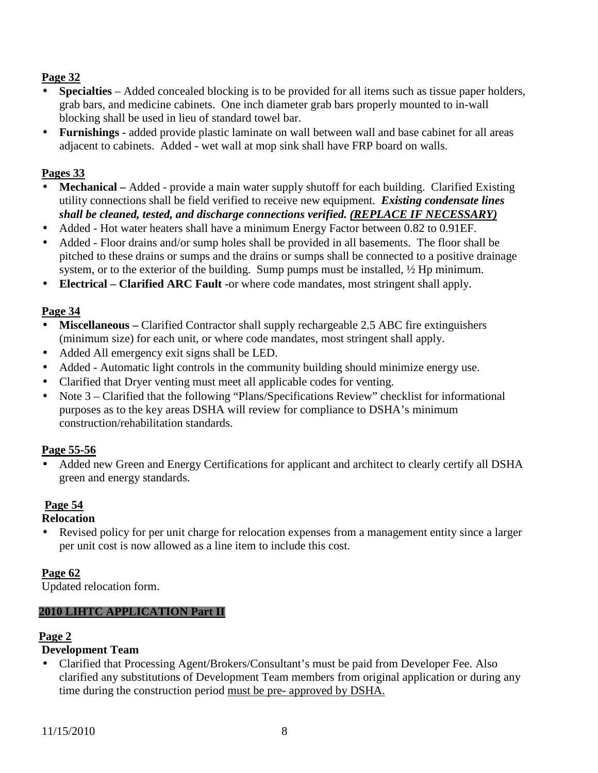- **Specialties** Added concealed blocking is to be provided for all items such as tissue paper holders, grab bars, and medicine cabinets. One inch diameter grab bars properly mounted to in-wall blocking shall be used in lieu of standard towel bar.
- **Furnishings** added provide plastic laminate on wall between wall and base cabinet for all areas adjacent to cabinets. Added - wet wall at mop sink shall have FRP board on walls.

#### **Pages 33**

- **Mechanical** Added provide a main water supply shutoff for each building. Clarified Existing utility connections shall be field verified to receive new equipment.*Existing condensate lines shall be cleaned, tested, and discharge connections verified. (REPLACE IF NECESSARY)*
- Added Hot water heaters shall have a minimum Energy Factor between 0.82 to 0.91EF.
- Added Floor drains and/or sump holes shall be provided in all basements. The floor shall be pitched to these drains or sumps and the drains or sumps shall be connected to a positive drainage system, or to the exterior of the building. Sump pumps must be installed, ½ Hp minimum.
- **Electrical Clarified ARC Fault -**or where code mandates, most stringent shall apply.

### **Page 34**

- **Miscellaneous** Clarified Contractor shall supply rechargeable 2.5 ABC fire extinguishers (minimum size) for each unit, or where code mandates, most stringent shall apply.
- Added All emergency exit signs shall be LED.
- Added Automatic light controls in the community building should minimize energy use.
- Clarified that Dryer venting must meet all applicable codes for venting.
- Note 3 Clarified that the following "Plans/Specifications Review" checklist for informational purposes as to the key areas DSHA will review for compliance to DSHA's minimum construction/rehabilitation standards.

#### **Page 55-56**

• Added new Green and Energy Certifications for applicant and architect to clearly certify all DSHA green and energy standards.

#### **Page 54**

#### **Relocation**

• Revised policy for per unit charge for relocation expenses from a management entity since a larger per unit cost is now allowed as a line item to include this cost.

#### **Page 62**

Updated relocation form.

#### **2010 LIHTC APPLICATION Part II**

# **Page 2**

# **Development Team**

• Clarified that Processing Agent/Brokers/Consultant's must be paid from Developer Fee. Also clarified any substitutions of Development Team members from original application or during any time during the construction period must be pre- approved by DSHA.